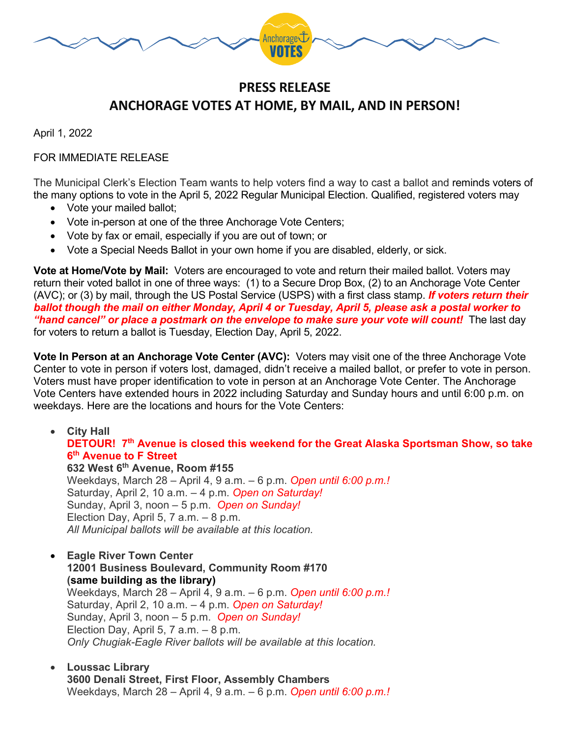

## **PRESS RELEASE ANCHORAGE VOTES AT HOME, BY MAIL, AND IN PERSON!**

April 1, 2022

## FOR IMMEDIATE RELEASE

The Municipal Clerk's Election Team wants to help voters find a way to cast a ballot and reminds voters of the many options to vote in the April 5, 2022 Regular Municipal Election. Qualified, registered voters may

- Vote your mailed ballot;
- Vote in-person at one of the three Anchorage Vote Centers;
- Vote by fax or email, especially if you are out of town; or
- Vote a Special Needs Ballot in your own home if you are disabled, elderly, or sick.

**Vote at Home/Vote by Mail:** Voters are encouraged to vote and return their mailed ballot. Voters may return their voted ballot in one of three ways: (1) to a Secure Drop Box, (2) to an Anchorage Vote Center (AVC); or (3) by mail, through the US Postal Service (USPS) with a first class stamp. *If voters return their ballot though the mail on either Monday, April 4 or Tuesday, April 5, please ask a postal worker to "hand cancel" or place a postmark on the envelope to make sure your vote will count!* The last day for voters to return a ballot is Tuesday, Election Day, April 5, 2022.

**Vote In Person at an Anchorage Vote Center (AVC):** Voters may visit one of the three Anchorage Vote Center to vote in person if voters lost, damaged, didn't receive a mailed ballot, or prefer to vote in person. Voters must have proper identification to vote in person at an Anchorage Vote Center. The Anchorage Vote Centers have extended hours in 2022 including Saturday and Sunday hours and until 6:00 p.m. on weekdays. Here are the locations and hours for the Vote Centers:

• **City Hall DETOUR! 7th Avenue is closed this weekend for the Great Alaska Sportsman Show, so take 6th Avenue to F Street 632 West 6th Avenue, Room #155**

Weekdays, March 28 – April 4, 9 a.m. – 6 p.m. *Open until 6:00 p.m.!* Saturday, April 2, 10 a.m. – 4 p.m. *Open on Saturday!* Sunday, April 3, noon – 5 p.m. *Open on Sunday!* Election Day, April 5, 7 a.m. – 8 p.m. *All Municipal ballots will be available at this location.*

- **Eagle River Town Center 12001 Business Boulevard, Community Room #170 (same building as the library)** Weekdays, March 28 – April 4, 9 a.m. – 6 p.m. *Open until 6:00 p.m.!* Saturday, April 2, 10 a.m. – 4 p.m. *Open on Saturday!* Sunday, April 3, noon – 5 p.m. *Open on Sunday!* Election Day, April 5, 7 a.m. – 8 p.m. *Only Chugiak-Eagle River ballots will be available at this location.*
- **Loussac Library 3600 Denali Street, First Floor, Assembly Chambers** Weekdays, March 28 – April 4, 9 a.m. – 6 p.m. *Open until 6:00 p.m.!*